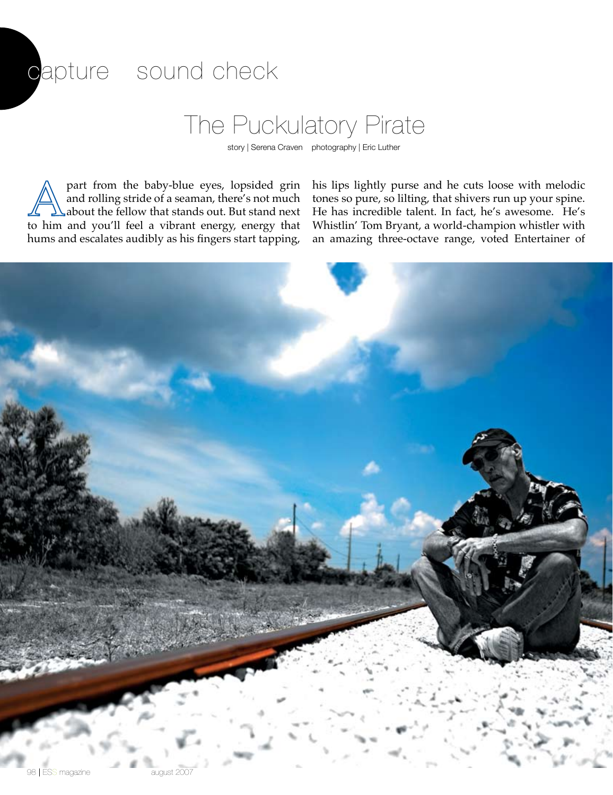## capture sound check

## The Puckulatory Pirate

story | Serena Craven photography | Eric Luther

part from the baby-blue eyes, lopsided grin and rolling stride of a seaman, there's not much about the fellow that stands out. But stand next to him and you'll feel a vibrant energy, energy that hums and escalates audibly as his fingers start tapping,

his lips lightly purse and he cuts loose with melodic tones so pure, so lilting, that shivers run up your spine. He has incredible talent. In fact, he's awesome. He's Whistlin' Tom Bryant, a world-champion whistler with an amazing three-octave range, voted Entertainer of